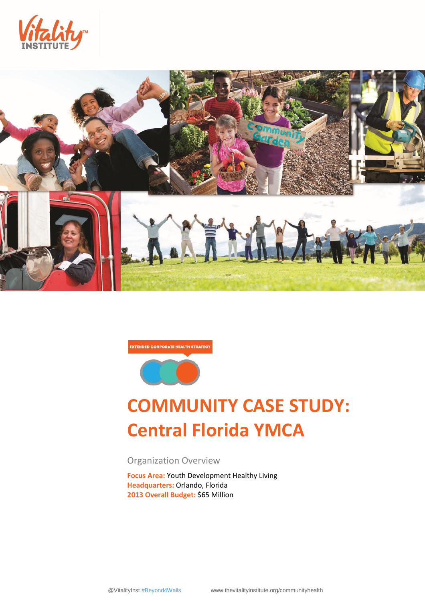



**EXTENDED CORPORATE HEALTH STRATEGY** 



# **COMMUNITY CASE STUDY: Central Florida YMCA**

Organization Overview

**Focus Area:** Youth Development Healthy Living **Headquarters:** Orlando, Florida **2013 Overall Budget:** \$65 Million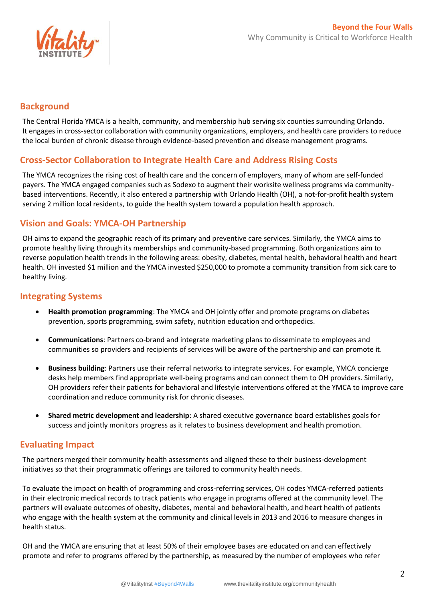

#### **Background**

The Central Florida YMCA is a health, community, and membership hub serving six counties surrounding Orlando. It engages in cross-sector collaboration with community organizations, employers, and health care providers to reduce the local burden of chronic disease through evidence-based prevention and disease management programs.

## **Cross-Sector Collaboration to Integrate Health Care and Address Rising Costs**

The YMCA recognizes the rising cost of health care and the concern of employers, many of whom are self-funded payers. The YMCA engaged companies such as Sodexo to augment their worksite wellness programs via communitybased interventions. Recently, it also entered a partnership with Orlando Health (OH), a not-for-profit health system serving 2 million local residents, to guide the health system toward a population health approach.

## **Vision and Goals: YMCA-OH Partnership**

OH aims to expand the geographic reach of its primary and preventive care services. Similarly, the YMCA aims to promote healthy living through its memberships and community-based programming. Both organizations aim to reverse population health trends in the following areas: obesity, diabetes, mental health, behavioral health and heart health. OH invested \$1 million and the YMCA invested \$250,000 to promote a community transition from sick care to healthy living.

#### **Integrating Systems**

- **Health promotion programming**: The YMCA and OH jointly offer and promote programs on diabetes prevention, sports programming, swim safety, nutrition education and orthopedics.
- **Communications**: Partners co-brand and integrate marketing plans to disseminate to employees and communities so providers and recipients of services will be aware of the partnership and can promote it.
- **Business building**: Partners use their referral networks to integrate services. For example, YMCA concierge desks help members find appropriate well-being programs and can connect them to OH providers. Similarly, OH providers refer their patients for behavioral and lifestyle interventions offered at the YMCA to improve care coordination and reduce community risk for chronic diseases.
- **Shared metric development and leadership**: A shared executive governance board establishes goals for success and jointly monitors progress as it relates to business development and health promotion.

## **Evaluating Impact**

The partners merged their community health assessments and aligned these to their business-development initiatives so that their programmatic offerings are tailored to community health needs.

To evaluate the impact on health of programming and cross-referring services, OH codes YMCA-referred patients in their electronic medical records to track patients who engage in programs offered at the community level. The partners will evaluate outcomes of obesity, diabetes, mental and behavioral health, and heart health of patients who engage with the health system at the community and clinical levels in 2013 and 2016 to measure changes in health status.

OH and the YMCA are ensuring that at least 50% of their employee bases are educated on and can effectively promote and refer to programs offered by the partnership, as measured by the number of employees who refer